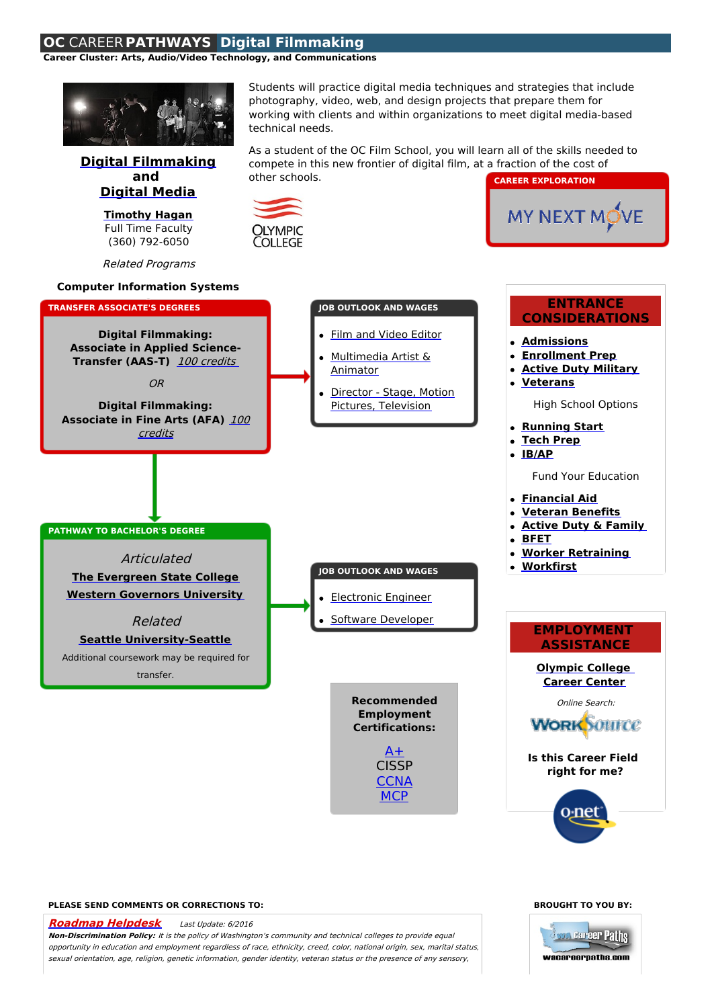## **OC** CAREER **PATHWAYS Digital Filmmaking**

**Career Cluster: Arts, Audio/Video Technology, and Communications**



## **PLEASE SEND COMMENTS OR CORRECTIONS TO:**

**[Roadmap](mailto:helpdesk@washingtoncareerpathways.org) Helpdesk** Last Update: 6/2016

**Non-Discrimination Policy:** It is the policy of Washington's community and technical colleges to provide equal opportunity in education and employment regardless of race, ethnicity, creed, color, national origin, sex, marital status, sexual orientation, age, religion, genetic information, gender identity, veteran status or the presence of any sensory,

## **BROUGHT TO YOU BY:**